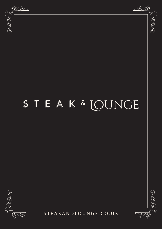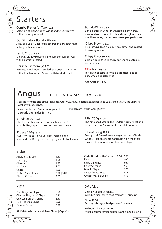# Starters

Combo Platter for Two 12.95 Selection of Ribs, Chicken Wings and Crispy Prawns with a dressing of salad

Our Signature Buffalo Rib 8.95 Juicy and Sticky Beef rib smothered in our secret finger licking barbecue sauce

Lamb Chops 6.95 (3 pieces) Lightly seasoned and flame grilled. Served with a garnish of salad

## Garlic Mushroom (v) 4.75

Pan fried mushrooms, sautéed, seasoned and finished with a touch of cream. Served with toasted bread

## Buffalo Wings 5.95

Buffalo chicken wings marinated in light herbs, seasoned with a kick of chilli and oven glazed in a mouth watering barbecue sauce or peri peri sauce Crispy Prawns 5.95 King Prawns deep fried in crispy batter and coated in savoury sauce

Crispy Chicken 5.95 Chicken deep fried in crispy batter and coated in savoury sauce

NEW Nachos 4.95 Tortilla chips topped with melted cheese, salsa, guacamole and jalapeños

Add Chicken +2.00

## Angus

HOT PLATE or SIZZLER (Extra £1)

Sourced from the land of the Highlands. Our 100% Angus beef is matured for up to 28 days to give you the ultimate meat lovers experience.

Served with chips & a sauce of your choice Upgrade your sides for 1.00 Peppercorn | Mushroom | Gravy

| Sirloin 250g 17.95                                                                                                             | Fillet 250g 22.50                                                                                                                                                              |
|--------------------------------------------------------------------------------------------------------------------------------|--------------------------------------------------------------------------------------------------------------------------------------------------------------------------------|
| The Classic Steak, rimmed with a thin layer of                                                                                 | The King of all Steaks. The tenderest cut of Beef and                                                                                                                          |
| marbled fat, superb in texture, moist and meaty                                                                                | extremely lean. A must for the Steak Connoisseur                                                                                                                               |
| Ribeye 250q 16.95<br>Cut from Rib section. Succulent, marbled and<br>matured, the Rib-eye is tender, juicy and full of flavour | T-Bone 300g 19.95<br>Daddy of all Steaks! Here you get the best of both<br>worlds. Fillet on one side and Sirloin on the other<br>served with a sauce of your choice and chips |

## Sides

| <b>Additional Sauce</b> | 1.50          | Garlic Bread   with Cheese 2.00   2.50 |      |
|-------------------------|---------------|----------------------------------------|------|
| Fried Egg               | 1.50          | <b>Rice</b>                            | 2.00 |
| Cheese                  | 1.50          | <b>Spicy Coleslaw</b>                  | 2.00 |
| Mix Salad               | 2.00          | Gourmet Mash                           | 2.50 |
| Chips                   | 2.00          | Masala Chips                           | 2.75 |
| Pasta - Plain   Tomato  | $2.00$   3.00 | <b>Sweet Potato Fries</b>              | 2.75 |
| Cheesy Chips            | 2.75          | Cheesy Masala Chips                    | 3.75 |

## KIDS

| Beef Burger & Chips     | 6.50 |
|-------------------------|------|
| Chicken Nuggets & Chips | 6.50 |
| Chicken Burger & Chips  | 6.50 |
| Fish Fingers & Chips    | 6.50 |
| Creamy Pasta            | 6.50 |

All Kids Meals come with Fruit Shoot | Capri-Sun

## SALADS

Chicken Ceasar Salad 8.50 Grilled chicken, boiled eggs, croutons & Parmesan.

Steak 12.50 Subway cabbage, mixed peppers & sweet chilli

Halloumi | Paneer (V) 8.00 Mixed peppers, tomatoes parsley and house dressing.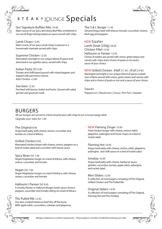## STEAK& LOUNGE Specials

## Our Signature Buffalo Ribs 19.95

Main course of our juicy and sticky Beef Ribs smothered in our secret finger licking barbecue sauce served with chips

#### Lamb Chops 13.95 Main course of our juicy Lamb chops (5 pieces) in a homemade marinate served with chips

Supreme Chicken 12.50 Marinated overnight in our unique blend of spices and drenched in our gazebo sauce, served with chips

Italian Pasta (V) 9.95 Tomato and chilli based sauced with mixed peppers and topped with parmeson cheese. Add Chicken +2.00

Sea-bass 12.50 Pan fried with lemon, butter and herbs. Served with salad garnish and gourmet mash

## The S & L Burger 11.95

Ground Angus beef with lettuce; tomato; cucumber; onions; fried egg and peppers

## NEW Sizzler

Lamb Steak (250g) 24.95 Chicken Fillet 15.95 Halloumi or Paneer 12.95 Choice of sizzlers are served with onion, green beans and carrots with chips and a choice of pasta or rice and a sauce of your choice.

NEW Grilled Chicken (Half )11.95 | (Full )14.95 Marinated overnight in our unique blend of spices cooked over a flame served with onion, green beans and carrots with chips and a choice of pasta or rice and a sauce of your choice.

Peppercorn | Mushroom | Gravy | Peri Peri | Gazebo Sauces

## BURGERS

All our burgers are served in a fresh brioche bun with chips & our in-house tangy relish Upgrade your sides for 1.00

The Original 8.95 Angus beef patty with cheese, onions, cucumber and tomato on a bed of lettuce

Grilled Chicken 8.95 Marinated chicken breast with cheese, onions, peppers on a bed of rocket salad and cucumber with House sauce

Spicy Bean (v) 7.95 Vegan/Vegetarian burger on a bed of lettuce, with cheese, onions, cucumber and tomato

Vegan (v) 7.95 Vegan/Vegetarian burger on a bed of lettuce, with cheese, onions, cucumber and tomato

Halloumi | Paneer (v) 9.95 A chunky Paneer or Halloumi Burger, pesto sauce, onions, peppers, cucumber and tomato sitting on a bed of lettuce.

The Pulled Rib 12.95 Our slow cooked barbecue beef ribs off the bone. With apple relish, cucumbers, coleslaw and jalapenos.

## NEW Flaming Zinger 10.95

Fried chicken burger with cheese, onions, relish, jalapeños, aubergine and house mayo on a bed of rocket salad

Flaming Hot 10.95 Angus beef patty with cheese, onions, relish, jalapeños, aubergine, and chilli sauce on a bed of rocket salad

Smokey 10.95 Angus beef patty with cheese, barbecue sauce, gherkin, cucumber, tomato, apple relish, aubergine and rocket salad.

Mini Sliders 12.95 A collection of mini burgers consisting of The Original, Grilled Chicken and The Pulled Rib

Original Sliders 14.95 A collection of mini burgers consisting of The Original, Flaming Hot and The Smokey